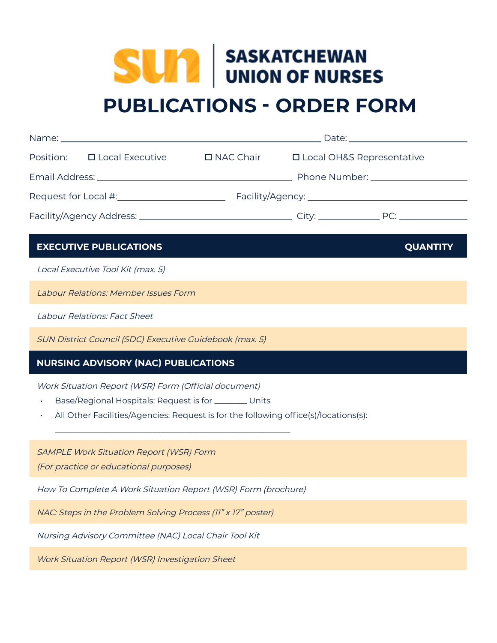# **SUM** SASKATCHEWAN **PUBLICATIONS - ORDER FORM**

|  | Position: □ Local Executive | $\square$ NAC Chair                  | □ Local OH&S Representative |  |
|--|-----------------------------|--------------------------------------|-----------------------------|--|
|  |                             | Phone Number: National Phone Number: |                             |  |
|  |                             |                                      |                             |  |
|  |                             |                                      | PC:                         |  |

## **EXECUTIVE PUBLICATIONS** *QUANTITY*

Local Executive Tool Kit (max. 5)

Labour Relations: Member Issues Form

Labour Relations: Fact Sheet

SUN District Council (SDC) Executive Guidebook (max. 5)

# **NURSING ADVISORY (NAC) PUBLICATIONS**

Work Situation Report (WSR) Form (Official document)

- Base/Regional Hospitals: Request is for \_\_\_\_\_\_\_ Units
- All Other Facilities/Agencies: Request is for the following office(s)/locations(s):

SAMPLE Work Situation Report (WSR) Form

(For practice or educational purposes)

How To Complete A Work Situation Report (WSR) Form (brochure)

\_\_\_\_\_\_\_\_\_\_\_\_\_\_\_\_\_\_\_\_\_\_\_\_\_\_\_\_\_\_\_\_\_\_\_\_\_\_\_\_\_\_\_\_\_\_\_\_\_\_\_\_\_\_\_\_\_\_

NAC: Steps in the Problem Solving Process (11" x 17" poster)

Nursing Advisory Committee (NAC) Local Chair Tool Kit

Work Situation Report (WSR) Investigation Sheet